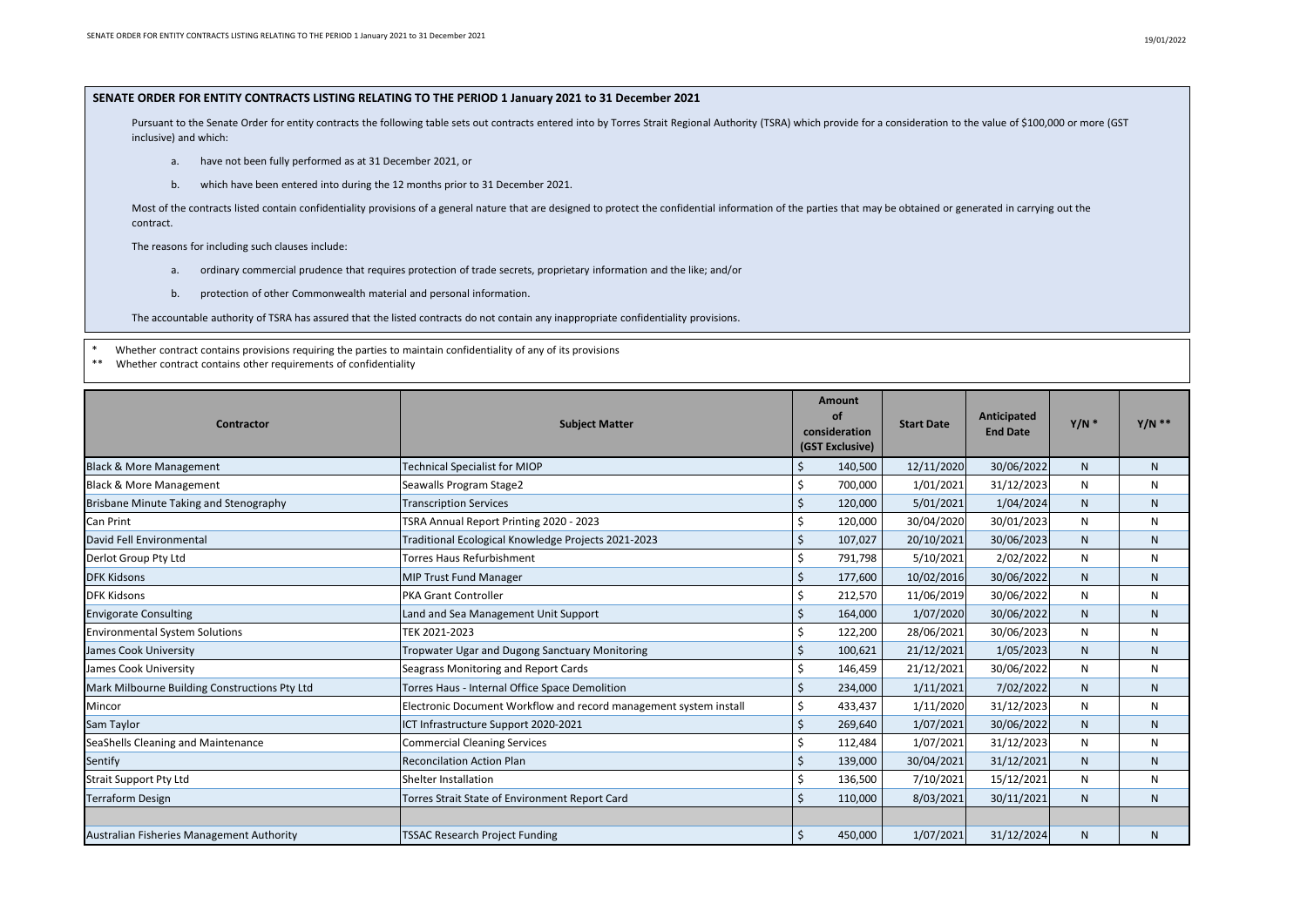| <b>Contractor</b>                             | <b>Subject Matter</b>                                             |               | <b>Amount</b><br><b>of</b><br>consideration<br>(GST Exclusive) | <b>Start Date</b> | Anticipated<br><b>End Date</b> | $Y/N$ *   | $Y/N$ **     |
|-----------------------------------------------|-------------------------------------------------------------------|---------------|----------------------------------------------------------------|-------------------|--------------------------------|-----------|--------------|
| <b>Black &amp; More Management</b>            | <b>Technical Specialist for MIOP</b>                              | \$            | 140,500                                                        | 12/11/2020        | 30/06/2022                     | N         | $\mathsf{N}$ |
| <b>Black &amp; More Management</b>            | Seawalls Program Stage2                                           | Ś.            | 700,000                                                        | 1/01/2021         | 31/12/2023                     | N         | N            |
| Brisbane Minute Taking and Stenography        | <b>Transcription Services</b>                                     | <sup>5</sup>  | 120,000                                                        | 5/01/2021         | 1/04/2024                      | N         | $\mathsf{N}$ |
| Can Print                                     | TSRA Annual Report Printing 2020 - 2023                           | Ś.            | 120,000                                                        | 30/04/2020        | 30/01/2023                     | N         | $\mathsf{N}$ |
| David Fell Environmental                      | Traditional Ecological Knowledge Projects 2021-2023               |               | 107,027                                                        | 20/10/2021        | 30/06/2023                     | N         | N            |
| Derlot Group Pty Ltd                          | <b>Torres Haus Refurbishment</b>                                  |               | 791,798                                                        | 5/10/2021         | 2/02/2022                      | N         | $\mathsf{N}$ |
| <b>DFK Kidsons</b>                            | <b>MIP Trust Fund Manager</b>                                     |               | 177,600                                                        | 10/02/2016        | 30/06/2022                     | ${\sf N}$ | N            |
| <b>DFK Kidsons</b>                            | <b>PKA Grant Controller</b>                                       | \$            | 212,570                                                        | 11/06/2019        | 30/06/2022                     | N         | N            |
| <b>Envigorate Consulting</b>                  | Land and Sea Management Unit Support                              |               | 164,000                                                        | 1/07/2020         | 30/06/2022                     | N.        | N            |
| <b>Environmental System Solutions</b>         | TEK 2021-2023                                                     | \$            | 122,200                                                        | 28/06/2021        | 30/06/2023                     | N         | N            |
| <b>James Cook University</b>                  | Tropwater Ugar and Dugong Sanctuary Monitoring                    | Ś             | 100,621                                                        | 21/12/2021        | 1/05/2023                      | ${\sf N}$ | ${\sf N}$    |
| James Cook University                         | Seagrass Monitoring and Report Cards                              |               | 146,459                                                        | 21/12/2021        | 30/06/2022                     | N         | N            |
| Mark Milbourne Building Constructions Pty Ltd | Torres Haus - Internal Office Space Demolition                    | Ś             | 234,000                                                        | 1/11/2021         | 7/02/2022                      | ${\sf N}$ | N            |
| Mincor                                        | Electronic Document Workflow and record management system install | \$            | 433,437                                                        | 1/11/2020         | 31/12/2023                     | N         | N            |
| Sam Taylor                                    | ICT Infrastructure Support 2020-2021                              | <sup>5</sup>  | 269,640                                                        | 1/07/2021         | 30/06/2022                     | N.        | N            |
| SeaShells Cleaning and Maintenance            | <b>Commercial Cleaning Services</b>                               | <sup>\$</sup> | 112,484                                                        | 1/07/2021         | 31/12/2023                     | N.        | $\mathsf{N}$ |
| Sentify                                       | <b>Reconcilation Action Plan</b>                                  |               | 139,000                                                        | 30/04/2021        | 31/12/2021                     | N         | $\mathsf{N}$ |
| <b>Strait Support Pty Ltd</b>                 | Shelter Installation                                              |               | 136,500                                                        | 7/10/2021         | 15/12/2021                     | N.        | $\mathsf{N}$ |
| <b>Terraform Design</b>                       | Torres Strait State of Environment Report Card                    |               | 110,000                                                        | 8/03/2021         | 30/11/2021                     | N.        | $\mathsf{N}$ |
|                                               |                                                                   |               |                                                                |                   |                                |           |              |
| Australian Fisheries Management Authority     | <b>TSSAC Research Project Funding</b>                             | Ś.            | 450,000                                                        | 1/07/2021         | 31/12/2024                     | ${\sf N}$ | N            |



Pursuant to the Senate Order for entity contracts the following table sets out contracts entered into by Torres Strait Regional Authority (TSRA) which provide for a consideration to the value of \$100,000 or more (GST inclusive) and which:

Most of the contracts listed contain confidentiality provisions of a general nature that are designed to protect the confidential information of the parties that may be obtained or generated in carrying out the contract.

## **SENATE ORDER FOR ENTITY CONTRACTS LISTING RELATING TO THE PERIOD 1 January 2021 to 31 December 2021**

- a. have not been fully performed as at 31 December 2021, or
- b. which have been entered into during the 12 months prior to 31 December 2021.

The reasons for including such clauses include:

- a. ordinary commercial prudence that requires protection of trade secrets, proprietary information and the like; and/or
- b. protection of other Commonwealth material and personal information.

The accountable authority of TSRA has assured that the listed contracts do not contain any inappropriate confidentiality provisions.

\* Whether contract contains provisions requiring the parties to maintain confidentiality of any of its provisions

\*\* Whether contract contains other requirements of confidentiality